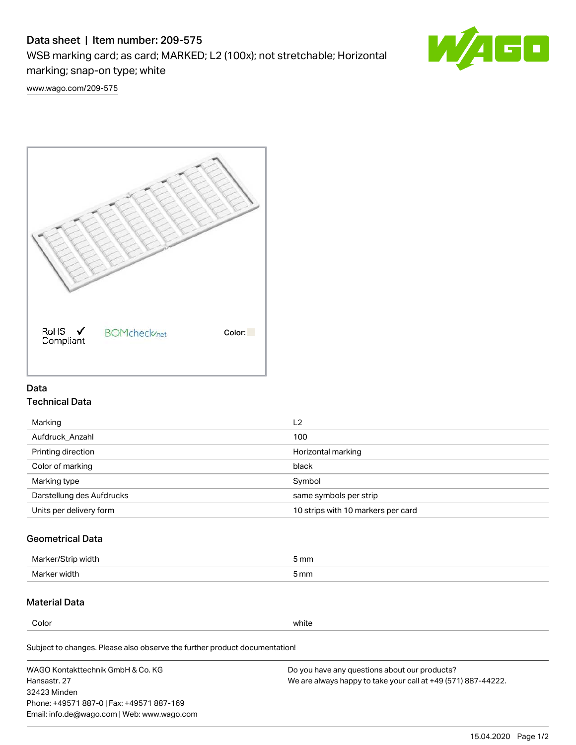# Data sheet | Item number: 209-575

WSB marking card; as card; MARKED; L2 (100x); not stretchable; Horizontal marking; snap-on type; white



[www.wago.com/209-575](http://www.wago.com/209-575)



### Data Technical Data

| Marking                   | L <sub>2</sub>                     |
|---------------------------|------------------------------------|
| Aufdruck Anzahl           | 100                                |
| Printing direction        | Horizontal marking                 |
| Color of marking          | black                              |
| Marking type              | Symbol                             |
| Darstellung des Aufdrucks | same symbols per strip             |
| Units per delivery form   | 10 strips with 10 markers per card |

## Geometrical Data

| طلقاء ئ<br><b>Marker</b><br>widtr | ັກmm |
|-----------------------------------|------|
| Marker width                      | 5 mm |

## Material Data

Color white

Subject to changes. Please also observe the further product documentation!

WAGO Kontakttechnik GmbH & Co. KG Hansastr. 27 32423 Minden Phone: +49571 887-0 | Fax: +49571 887-169 Email: info.de@wago.com | Web: www.wago.com Do you have any questions about our products? We are always happy to take your call at +49 (571) 887-44222.